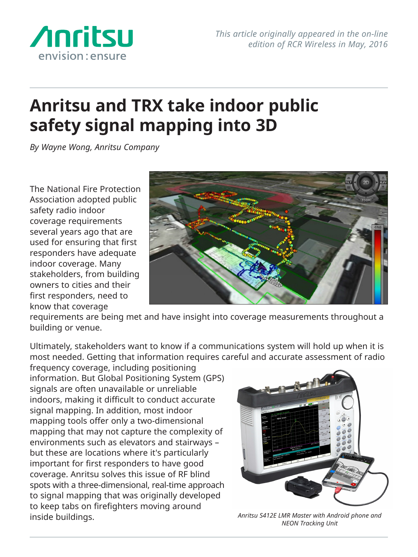

## **Anritsu and TRX take indoor public safety signal mapping into 3D**

*By Wayne Wong, Anritsu Company*

The National Fire Protection Association adopted public safety radio indoor coverage requirements several years ago that are used for ensuring that first responders have adequate indoor coverage. Many stakeholders, from building owners to cities and their first responders, need to know that coverage



requirements are being met and have insight into coverage measurements throughout a building or venue.

Ultimately, stakeholders want to know if a communications system will hold up when it is most needed. Getting that information requires careful and accurate assessment of radio

frequency coverage, including positioning information. But Global Positioning System (GPS) signals are often unavailable or unreliable indoors, making it difficult to conduct accurate signal mapping. In addition, most indoor mapping tools offer only a two-dimensional mapping that may not capture the complexity of environments such as elevators and stairways – but these are locations where it's particularly important for first responders to have good coverage. Anritsu solves this issue of RF blind spots with a three-dimensional, real-time approach to signal mapping that was originally developed to keep tabs on firefighters moving around inside buildings.



*Anritsu S412E LMR Master with Android phone and NEON Tracking Unit*